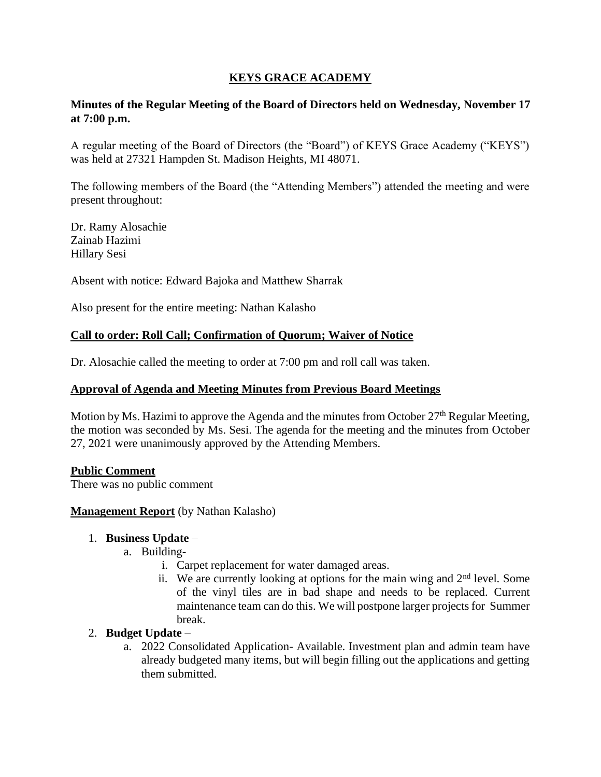## **KEYS GRACE ACADEMY**

### **Minutes of the Regular Meeting of the Board of Directors held on Wednesday, November 17 at 7:00 p.m.**

A regular meeting of the Board of Directors (the "Board") of KEYS Grace Academy ("KEYS") was held at 27321 Hampden St. Madison Heights, MI 48071.

The following members of the Board (the "Attending Members") attended the meeting and were present throughout:

Dr. Ramy Alosachie Zainab Hazimi Hillary Sesi

Absent with notice: Edward Bajoka and Matthew Sharrak

Also present for the entire meeting: Nathan Kalasho

### **Call to order: Roll Call; Confirmation of Quorum; Waiver of Notice**

Dr. Alosachie called the meeting to order at 7:00 pm and roll call was taken.

#### **Approval of Agenda and Meeting Minutes from Previous Board Meetings**

Motion by Ms. Hazimi to approve the Agenda and the minutes from October 27<sup>th</sup> Regular Meeting, the motion was seconded by Ms. Sesi. The agenda for the meeting and the minutes from October 27, 2021 were unanimously approved by the Attending Members.

#### **Public Comment**

There was no public comment

#### **Management Report** (by Nathan Kalasho)

#### 1. **Business Update** –

- a. Building
	- i. Carpet replacement for water damaged areas.
	- ii. We are currently looking at options for the main wing and  $2<sup>nd</sup>$  level. Some of the vinyl tiles are in bad shape and needs to be replaced. Current maintenance team can do this. We will postpone larger projects for Summer break.

#### 2. **Budget Update** –

a. 2022 Consolidated Application- Available. Investment plan and admin team have already budgeted many items, but will begin filling out the applications and getting them submitted.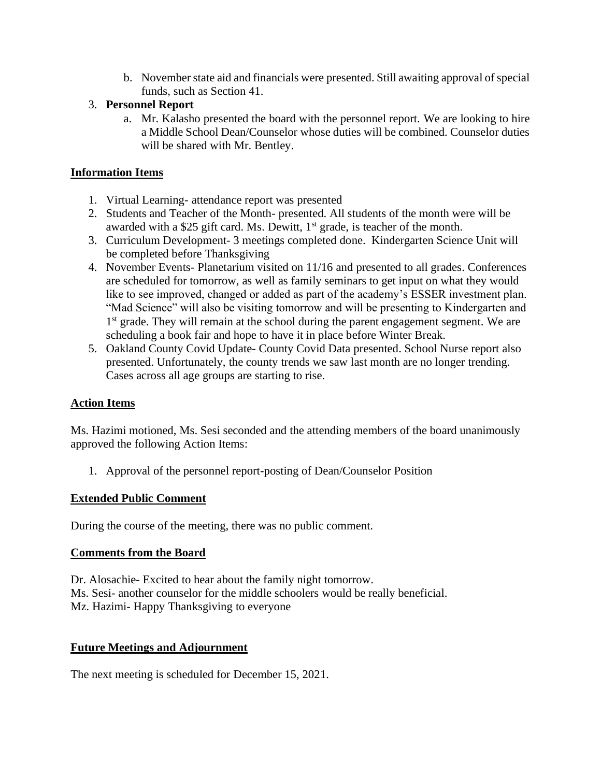b. November state aid and financials were presented. Still awaiting approval of special funds, such as Section 41.

## 3. **Personnel Report**

a. Mr. Kalasho presented the board with the personnel report. We are looking to hire a Middle School Dean/Counselor whose duties will be combined. Counselor duties will be shared with Mr. Bentley.

## **Information Items**

- 1. Virtual Learning- attendance report was presented
- 2. Students and Teacher of the Month- presented. All students of the month were will be awarded with a \$25 gift card. Ms. Dewitt, 1<sup>st</sup> grade, is teacher of the month.
- 3. Curriculum Development- 3 meetings completed done. Kindergarten Science Unit will be completed before Thanksgiving
- 4. November Events- Planetarium visited on 11/16 and presented to all grades. Conferences are scheduled for tomorrow, as well as family seminars to get input on what they would like to see improved, changed or added as part of the academy's ESSER investment plan. "Mad Science" will also be visiting tomorrow and will be presenting to Kindergarten and 1<sup>st</sup> grade. They will remain at the school during the parent engagement segment. We are scheduling a book fair and hope to have it in place before Winter Break.
- 5. Oakland County Covid Update- County Covid Data presented. School Nurse report also presented. Unfortunately, the county trends we saw last month are no longer trending. Cases across all age groups are starting to rise.

# **Action Items**

Ms. Hazimi motioned, Ms. Sesi seconded and the attending members of the board unanimously approved the following Action Items:

1. Approval of the personnel report-posting of Dean/Counselor Position

### **Extended Public Comment**

During the course of the meeting, there was no public comment.

### **Comments from the Board**

Dr. Alosachie- Excited to hear about the family night tomorrow. Ms. Sesi- another counselor for the middle schoolers would be really beneficial. Mz. Hazimi- Happy Thanksgiving to everyone

# **Future Meetings and Adjournment**

The next meeting is scheduled for December 15, 2021.